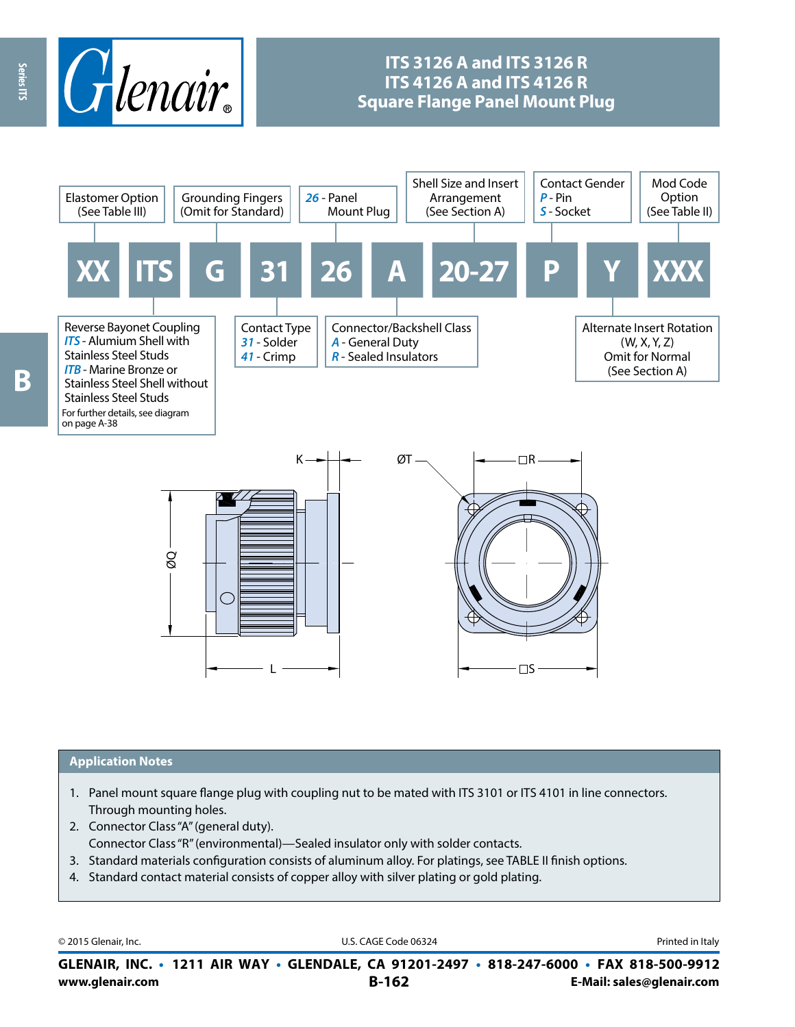

## **ITS 3126 A and ITS 3126 R ITS 4126 A and ITS 4126 R Square Flange Panel Mount Plug**



#### **Application Notes**

- 1. Panel mount square flange plug with coupling nut to be mated with ITS 3101 or ITS 4101 in line connectors. Through mounting holes.
- 2. Connector Class "A" (general duty). Connector Class "R" (environmental)—Sealed insulator only with solder contacts.
- 3. Standard materials configuration consists of aluminum alloy. For platings, see TABLE II finish options.
- 4. Standard contact material consists of copper alloy with silver plating or gold plating.

© 2015 Glenair, Inc. **Discription Construction Construction Construction Construction Construction Construction Construction Construction Construction Construction Construction Construction Construction Construction Constr** 

**www.glenair.com B-162 E-Mail: sales@glenair.com GLENAIR, INC. • 1211 AIR WAY • GLENDALE, CA 91201-2497 • 818-247-6000 • FAX 818-500-9912**